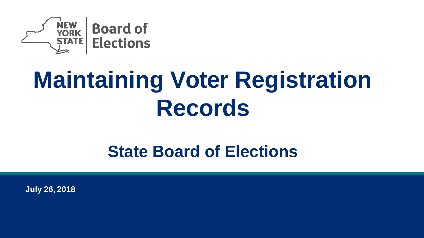

# **Maintaining Voter Registration Records**

### **State Board of Elections**

**July 26, 2018**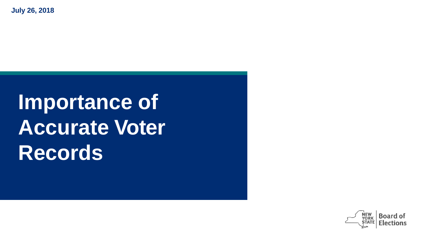**July 26, 2018**

## **Importance of Accurate Voter Records**

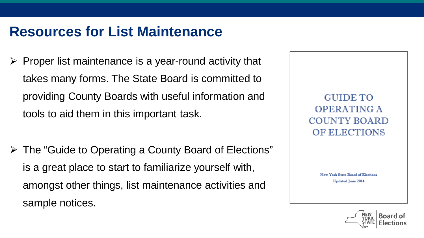$\triangleright$  Proper list maintenance is a year-round activity that takes many forms. The State Board is committed to providing County Boards with useful information and tools to aid them in this important task.

 The "Guide to Operating a County Board of Elections" is a great place to start to familiarize yourself with, amongst other things, list maintenance activities and sample notices.

GUIDE TO **OPERATING A COUNTY BOARD** OF ELECTIONS

> New York State Board of Elections **Updated June 2014**

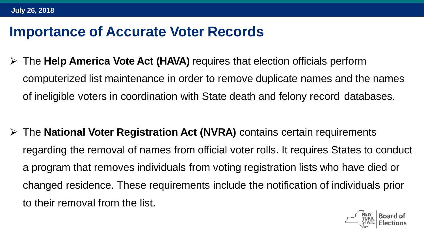#### **Importance of Accurate Voter Records**

 The **Help America Vote Act (HAVA)** requires that election officials perform computerized list maintenance in order to remove duplicate names and the names of ineligible voters in coordination with State death and felony record databases.

 The **National Voter Registration Act (NVRA)** contains certain requirements regarding the removal of names from official voter rolls. It requires States to conduct a program that removes individuals from voting registration lists who have died or changed residence. These requirements include the notification of individuals prior to their removal from the list.

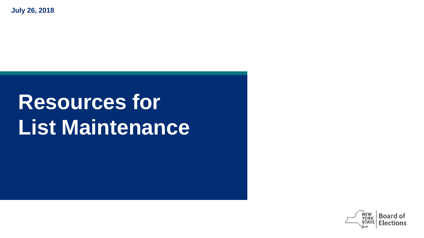**July 26, 2018**

## **Resources for List Maintenance**

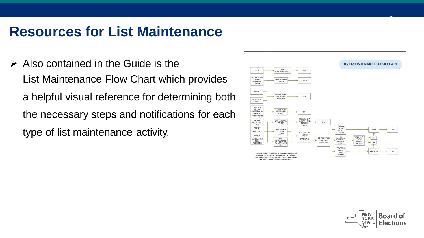$\triangleright$  Also contained in the Guide is the List Maintenance Flow Chart which provides a helpful visual reference for determining both the necessary steps and notifications for each type of list maintenance activity.





**6**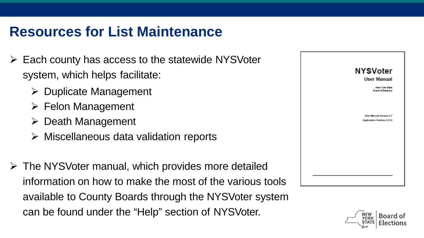- $\triangleright$  Each county has access to the statewide NYSVoter system, which helps facilitate:
	- $\triangleright$  Duplicate Management
	- $\triangleright$  Felon Management
	- $\triangleright$  Death Management
	- $\triangleright$  Miscellaneous data validation reports
- $\triangleright$  The NYSVoter manual, which provides more detailed information on how to make the most of the various tools available to County Boards through the NYSVoter system can be found under the "Help" section of NYSVoter.



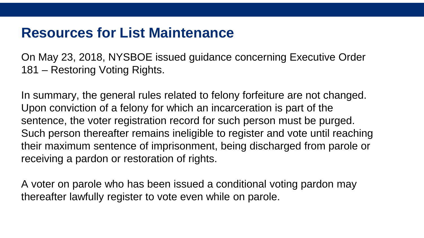On May 23, 2018, NYSBOE issued guidance concerning Executive Order 181 – Restoring Voting Rights.

In summary, the general rules related to felony forfeiture are not changed. Upon conviction of a felony for which an incarceration is part of the sentence, the voter registration record for such person must be purged. Such person thereafter remains ineligible to register and vote until reaching their maximum sentence of imprisonment, being discharged from parole or receiving a pardon or restoration of rights.

A voter on parole who has been issued a conditional voting pardon may thereafter lawfully register to vote even while on parole.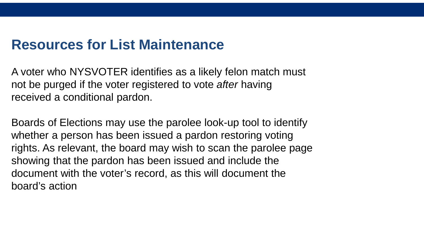A voter who NYSVOTER identifies as a likely felon match must not be purged if the voter registered to vote *after* having received a conditional pardon.

Boards of Elections may use the parolee look-up tool to identify whether a person has been issued a pardon restoring voting rights. As relevant, the board may wish to scan the parolee page showing that the pardon has been issued and include the document with the voter's record, as this will document the board's action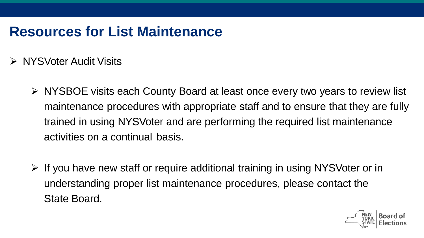- ▶ NYSVoter Audit Visits
	- NYSBOE visits each County Board at least once every two years to review list maintenance procedures with appropriate staff and to ensure that they are fully trained in using NYSVoter and are performing the required list maintenance activities on a continual basis.
	- $\triangleright$  If you have new staff or require additional training in using NYSVoter or in understanding proper list maintenance procedures, please contact the State Board.

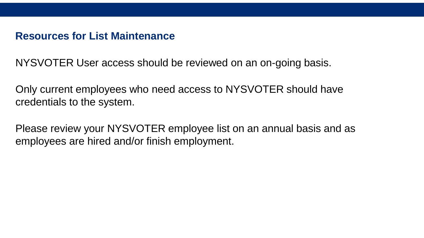NYSVOTER User access should be reviewed on an on-going basis.

Only current employees who need access to NYSVOTER should have credentials to the system.

Please review your NYSVOTER employee list on an annual basis and as employees are hired and/or finish employment.